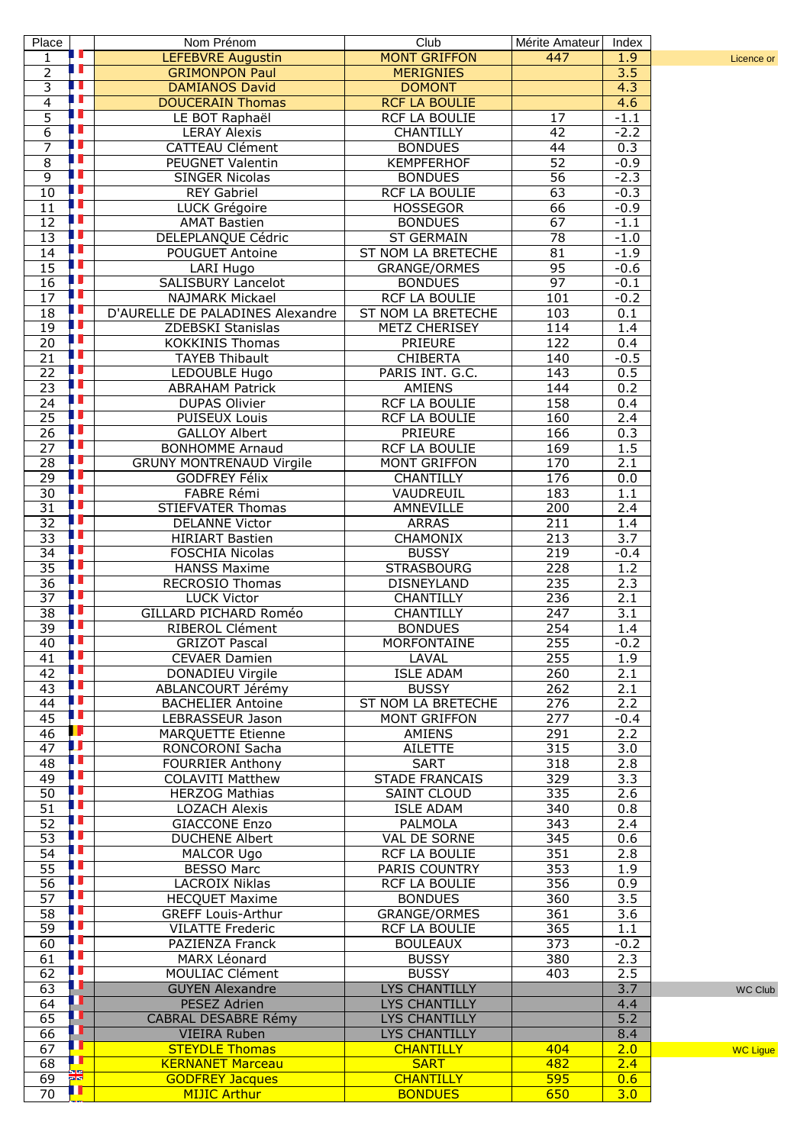| Place                 |                | Nom Prénom                                                 | Club                                         | Mérite Amateur   | Index            |                 |
|-----------------------|----------------|------------------------------------------------------------|----------------------------------------------|------------------|------------------|-----------------|
| 1                     | Ш              | LEFEBVRE Augustin                                          | <b>MONT GRIFFON</b>                          | 447              | 1.9              | Licence or      |
| $\overline{2}$        | Ш              | <b>GRIMONPON Paul</b>                                      | <b>MERIGNIES</b>                             |                  | $\overline{3.5}$ |                 |
| $\overline{3}$        | Ш<br>Ш         | <b>DAMIANOS David</b>                                      | <b>DOMONT</b>                                |                  | 4.3              |                 |
| $\overline{4}$        | Ш              | <b>DOUCERAIN Thomas</b>                                    | <b>RCF LA BOULIE</b><br><b>RCF LA BOULIE</b> |                  | 4.6              |                 |
| 5<br>$\overline{6}$   | Ш              | LE BOT Raphaël<br><b>LERAY Alexis</b>                      | CHANTILLY                                    | 17<br>42         | $-1.1$<br>$-2.2$ |                 |
| 7                     | H              | <b>CATTEAU Clément</b>                                     | <b>BONDUES</b>                               | 44               | 0.3              |                 |
| $\overline{8}$        | Ш              | PEUGNET Valentin                                           | <b>KEMPFERHOF</b>                            | 52               | $-0.9$           |                 |
| $\overline{9}$        | H              | <b>SINGER Nicolas</b>                                      | <b>BONDUES</b>                               | $\overline{56}$  | $-2.3$           |                 |
| 10                    | Г              | <b>REY Gabriel</b>                                         | RCF LA BOULIE                                | 63               | $-0.3$           |                 |
| 11                    | ш              | LUCK Grégoire                                              | <b>HOSSEGOR</b>                              | 66               | $-0.9$           |                 |
| 12                    |                | <b>AMAT Bastien</b>                                        | <b>BONDUES</b>                               | 67               | $-1.1$           |                 |
| 13                    | г              | DELEPLANQUE Cédric                                         | <b>ST GERMAIN</b>                            | $\overline{78}$  | $-1.0$           |                 |
| 14                    | ш              | POUGUET Antoine                                            | ST NOM LA BRETECHE                           | 81               | $-1.9$           |                 |
| 15                    | г              | LARI Hugo                                                  | <b>GRANGE/ORMES</b>                          | 95               | $-0.6$           |                 |
| 16                    | Ш              | SALISBURY Lancelot                                         | <b>BONDUES</b>                               | 97               | $-0.1$           |                 |
| 17<br>18              |                | <b>NAJMARK Mickael</b><br>D'AURELLE DE PALADINES Alexandre | RCF LA BOULIE<br>ST NOM LA BRETECHE          | 101<br>103       | $-0.2$           |                 |
| 19                    |                | ZDEBSKI Stanislas                                          | <b>METZ CHERISEY</b>                         | 114              | 0.1<br>1.4       |                 |
| $\overline{20}$       | Ш              | <b>KOKKINIS Thomas</b>                                     | PRIEURE                                      | 122              | 0.4              |                 |
| $\overline{21}$       | г              | <b>TAYEB Thibault</b>                                      | <b>CHIBERTA</b>                              | 140              | $-0.5$           |                 |
| $\overline{22}$       | г              | LEDOUBLE Hugo                                              | PARIS INT. G.C.                              | 143              | 0.5              |                 |
| $\overline{23}$       | П              | <b>ABRAHAM Patrick</b>                                     | AMIENS                                       | 144              | 0.2              |                 |
| $\overline{24}$       | т              | <b>DUPAS Olivier</b>                                       | RCF LA BOULIE                                | 158              | 0.4              |                 |
| $\overline{25}$       |                | PUISEUX Louis                                              | <b>RCF LA BOULIE</b>                         | 160              | 2.4              |                 |
| 26                    | ш              | <b>GALLOY Albert</b>                                       | PRIEURE                                      | 166              | 0.3              |                 |
| $\overline{27}$       | Т              | <b>BONHOMME Arnaud</b>                                     | RCF LA BOULIE                                | 169              | 1.5              |                 |
| $\overline{28}$       | т<br>ш         | <b>GRUNY MONTRENAUD Virgile</b>                            | <b>MONT GRIFFON</b>                          | 170              | 2.1              |                 |
| $\overline{29}$       | ш              | <b>GODFREY Félix</b>                                       | <b>CHANTILLY</b>                             | 176              | 0.0              |                 |
| 30<br>31              | ш              | FABRE Rémi                                                 | VAUDREUIL                                    | 183              | $\overline{1.1}$ |                 |
| 32                    | г              | <b>STIEFVATER Thomas</b><br><b>DELANNE Victor</b>          | AMNEVILLE<br><b>ARRAS</b>                    | 200<br>211       | 2.4<br>1.4       |                 |
| 33                    |                | <b>HIRIART Bastien</b>                                     | CHAMONIX                                     | $\overline{213}$ | $\overline{3.7}$ |                 |
| $\overline{34}$       | т              | <b>FOSCHIA Nicolas</b>                                     | <b>BUSSY</b>                                 | 219              | $-0.4$           |                 |
| $\overline{35}$       | Ш              | <b>HANSS Maxime</b>                                        | <b>STRASBOURG</b>                            | 228              | 1.2              |                 |
| $\overline{36}$       | ш              | RECROSIO Thomas                                            | <b>DISNEYLAND</b>                            | 235              | 2.3              |                 |
| $\overline{37}$       | ш              | <b>LUCK Victor</b>                                         | CHANTILLY                                    | 236              | 2.1              |                 |
| $\overline{38}$       | г              | GILLARD PICHARD Roméo                                      | <b>CHANTILLY</b>                             | 247              | 3.1              |                 |
| 39                    | Ш              | RIBEROL Clément                                            | <b>BONDUES</b>                               | 254              | 1.4              |                 |
| 40                    | П              | <b>GRIZOT Pascal</b>                                       | <b>MORFONTAINE</b>                           | 255              | $-0.2$           |                 |
| 41                    | Ш              | <b>CEVAER Damien</b>                                       | LAVAL                                        | 255              | 1.9              |                 |
| 42                    | ш              | DONADIEU Virgile                                           | <b>ISLE ADAM</b>                             | 260              | 2.1              |                 |
| 43<br>44              |                | ABLANCOURT Jérémy<br><b>BACHELIER Antoine</b>              | <b>BUSSY</b><br>ST NOM LA BRETECHE           | 262<br>276       | 2.1<br>2.2       |                 |
| 45                    | ш              | LEBRASSEUR Jason                                           | <b>MONT GRIFFON</b>                          | 277              | $-0.4$           |                 |
| 46                    |                | <b>MARQUETTE Etienne</b>                                   | AMIENS                                       | 291              | 2.2              |                 |
| 47                    |                | RONCORONI Sacha                                            | <b>AILETTE</b>                               | 315              | 3.0              |                 |
| 48                    | ш              | <b>FOURRIER Anthony</b>                                    | <b>SART</b>                                  | 318              | 2.8              |                 |
| 49                    | т              | <b>COLAVITI Matthew</b>                                    | <b>STADE FRANCAIS</b>                        | 329              | 3.3              |                 |
| 50                    |                | <b>HERZOG Mathias</b>                                      | <b>SAINT CLOUD</b>                           | 335              | 2.6              |                 |
| 51                    | ш              | <b>LOZACH Alexis</b>                                       | <b>ISLE ADAM</b>                             | 340              | 0.8              |                 |
| 52                    | г<br>П         | <b>GIACCONE Enzo</b>                                       | PALMOLA                                      | $\overline{343}$ | 2.4              |                 |
| 53                    | IT             | <b>DUCHENE Albert</b>                                      | VAL DE SORNE                                 | $\overline{345}$ | 0.6              |                 |
| 54<br>$\overline{55}$ | ш              | MALCOR Ugo<br><b>BESSO Marc</b>                            | <b>RCF LA BOULIE</b><br>PARIS COUNTRY        | 351<br>353       | 2.8<br>1.9       |                 |
| 56                    |                | LACROIX Niklas                                             | RCF LA BOULIE                                | 356              | 0.9              |                 |
| 57                    | г              | <b>HECQUET Maxime</b>                                      | <b>BONDUES</b>                               | 360              | $\overline{3.5}$ |                 |
| 58                    | ш              | <b>GREFF Louis-Arthur</b>                                  | GRANGE/ORMES                                 | 361              | 3.6              |                 |
| 59                    |                | <b>VILATTE Frederic</b>                                    | RCF LA BOULIE                                | 365              | 1.1              |                 |
| 60                    | ш              | PAZIENZA Franck                                            | <b>BOULEAUX</b>                              | $\overline{373}$ | $-0.2$           |                 |
| 61                    | ш              | MARX Léonard                                               | <b>BUSSY</b>                                 | 380              | 2.3              |                 |
| 62                    |                | MOULIAC Clément                                            | <b>BUSSY</b>                                 | 403              | 2.5              |                 |
| 63                    | л              | <b>GUYEN Alexandre</b>                                     | LYS CHANTILLY                                |                  | 3.7              | <b>WC Club</b>  |
| 64                    | ш<br>г         | PESEZ Adrien                                               | LYS CHANTILLY                                |                  | 4.4              |                 |
| 65                    | П              | CABRAL DESABRE Rémy                                        | <b>LYS CHANTILLY</b>                         |                  | 5.2              |                 |
| 66<br>67              | ╓              | <b>VIEIRA</b> Ruben<br><b>STEYDLE Thomas</b>               | LYS CHANTILLY<br><b>CHANTILLY</b>            | 404              | 8.4<br>2.0       |                 |
| 68                    | ЩТ             | <b>KERNANET Marceau</b>                                    | <b>SART</b>                                  | 482              | 2.4              | <b>WC Ligue</b> |
| 69                    | बाब            | <b>GODFREY Jacques</b>                                     | <b>CHANTILLY</b>                             | 595              | 0.6              |                 |
| 70                    | $\blacksquare$ | <b>MIJIC Arthur</b>                                        | <b>BONDUES</b>                               | 650              | 3.0              |                 |